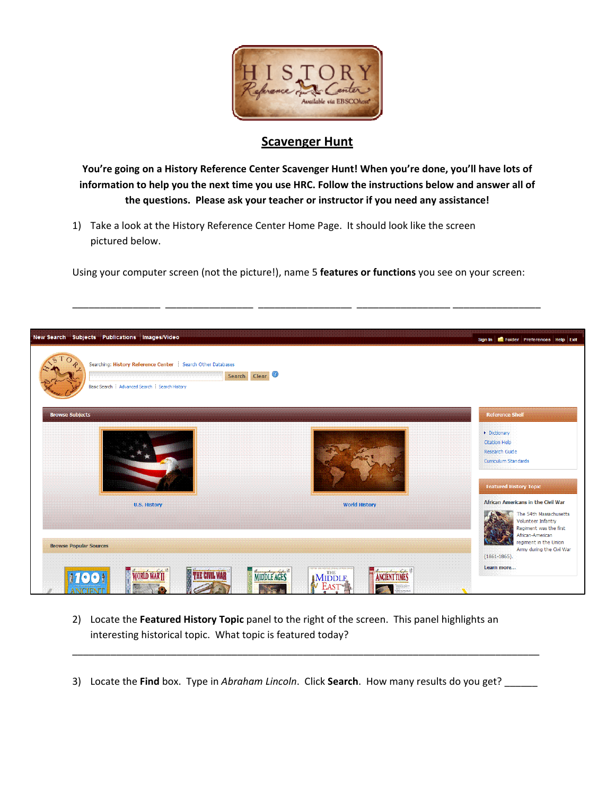

## **Scavenger Hunt**

**You're going on a History Reference Center Scavenger Hunt! When you're done, you'll have lots of information to help you the next time you use HRC. Follow the instructions below and answer all of the questions. Please ask your teacher or instructor if you need any assistance!**

1) Take a look at the History Reference Center Home Page. It should look like the screen pictured below.

Using your computer screen (not the picture!), name 5 **features or functions** you see on your screen:

\_\_\_\_\_\_\_\_\_\_\_\_\_\_\_\_ \_\_\_\_\_\_\_\_\_\_\_\_\_\_\_\_ \_\_\_\_\_\_\_\_\_\_\_\_\_\_\_\_\_ \_\_\_\_\_\_\_\_\_\_\_\_\_\_\_\_\_ \_\_\_\_\_\_\_\_\_\_\_\_\_\_\_\_

| <b>Browse Subjects</b>        |                      | <b>Reference Shelf</b>                                                                                                                                                |
|-------------------------------|----------------------|-----------------------------------------------------------------------------------------------------------------------------------------------------------------------|
|                               |                      |                                                                                                                                                                       |
|                               |                      | Dictionary<br><b>Citation Help</b><br>Research Guide<br>Curriculum Standards<br><b>Featured History Topic</b>                                                         |
| <b>U.S. History</b>           | <b>World History</b> | African Americans in the Civil War                                                                                                                                    |
| <b>Browse Popular Sources</b> |                      | The 54th Massachusetts<br>Volunteer Infantry<br>Regiment was the first<br>African-American<br>regiment in the Union<br>Army during the Civil War<br>$(1861 - 1865)$ . |

- 2) Locate the **Featured History Topic** panel to the right of the screen. This panel highlights an interesting historical topic. What topic is featured today?
- 3) Locate the **Find** box. Type in *Abraham Lincoln*. Click **Search**. How many results do you get? \_\_\_\_\_\_

\_\_\_\_\_\_\_\_\_\_\_\_\_\_\_\_\_\_\_\_\_\_\_\_\_\_\_\_\_\_\_\_\_\_\_\_\_\_\_\_\_\_\_\_\_\_\_\_\_\_\_\_\_\_\_\_\_\_\_\_\_\_\_\_\_\_\_\_\_\_\_\_\_\_\_\_\_\_\_\_\_\_\_\_\_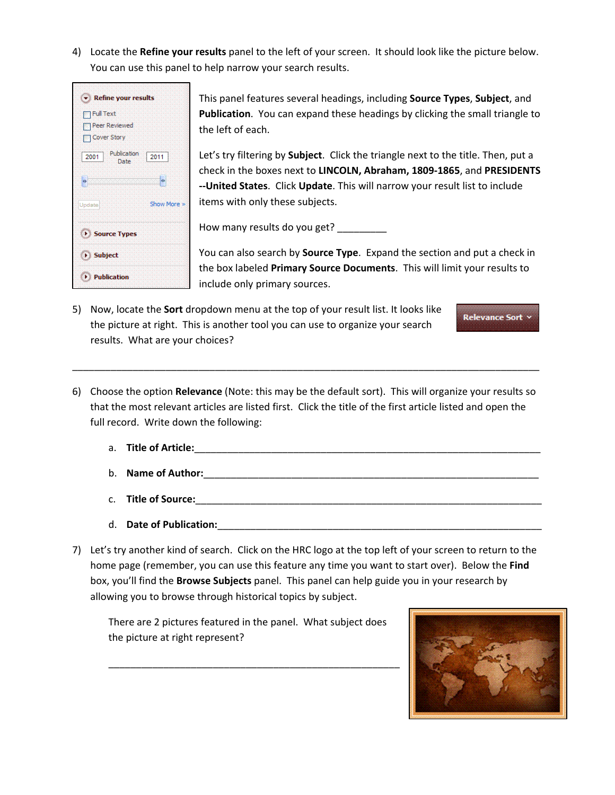4) Locate the **Refine your results** panel to the left of your screen. It should look like the picture below. You can use this panel to help narrow your search results.



This panel features several headings, including **Source Types**, **Subject**, and **Publication**. You can expand these headings by clicking the small triangle to the left of each.

Let's try filtering by **Subject**. Click the triangle next to the title. Then, put a check in the boxes next to **LINCOLN, Abraham, 1809‐1865**, and **PRESIDENTS ‐‐United States**. Click **Update**. This will narrow your result list to include items with only these subjects.

How many results do you get?

You can also search by **Source Type**. Expand the section and put a check in the box labeled **Primary Source Documents**. This will limit your results to include only primary sources.

- 5) Now, locate the **Sort** dropdown menu at the top of your result list. It looks like the picture at right. This is another tool you can use to organize your search results. What are your choices?
- 6) Choose the option **Relevance** (Note: this may be the default sort). This will organize your results so that the most relevant articles are listed first. Click the title of the first article listed and open the full record. Write down the following:

\_\_\_\_\_\_\_\_\_\_\_\_\_\_\_\_\_\_\_\_\_\_\_\_\_\_\_\_\_\_\_\_\_\_\_\_\_\_\_\_\_\_\_\_\_\_\_\_\_\_\_\_\_\_\_\_\_\_\_\_\_\_\_\_\_\_\_\_\_\_\_\_\_\_\_\_\_\_\_\_\_\_\_\_\_

- a. **Title of Article:**\_\_\_\_\_\_\_\_\_\_\_\_\_\_\_\_\_\_\_\_\_\_\_\_\_\_\_\_\_\_\_\_\_\_\_\_\_\_\_\_\_\_\_\_\_\_\_\_\_\_\_\_\_\_\_\_\_\_\_\_\_\_\_
- b. **Name of Author:**\_\_\_\_\_\_\_\_\_\_\_\_\_\_\_\_\_\_\_\_\_\_\_\_\_\_\_\_\_\_\_\_\_\_\_\_\_\_\_\_\_\_\_\_\_\_\_\_\_\_\_\_\_\_\_\_\_\_\_\_\_
- c. **Title of Source:**\_\_\_\_\_\_\_\_\_\_\_\_\_\_\_\_\_\_\_\_\_\_\_\_\_\_\_\_\_\_\_\_\_\_\_\_\_\_\_\_\_\_\_\_\_\_\_\_\_\_\_\_\_\_\_\_\_\_\_\_\_\_\_
- d. **Date of Publication:**\_\_\_\_\_\_\_\_\_\_\_\_\_\_\_\_\_\_\_\_\_\_\_\_\_\_\_\_\_\_\_\_\_\_\_\_\_\_\_\_\_\_\_\_\_\_\_\_\_\_\_\_\_\_\_\_\_\_\_
- 7) Let's try another kind of search. Click on the HRC logo at the top left of your screen to return to the home page (remember, you can use this feature any time you want to start over). Below the **Find** box, you'll find the **Browse Subjects** panel. This panel can help guide you in your research by allowing you to browse through historical topics by subject.

There are 2 pictures featured in the panel. What subject does the picture at right represent?

\_\_\_\_\_\_\_\_\_\_\_\_\_\_\_\_\_\_\_\_\_\_\_\_\_\_\_\_\_\_\_\_\_\_\_\_\_\_\_\_\_\_\_\_\_\_\_\_\_\_\_\_\_



Relevance Sort v